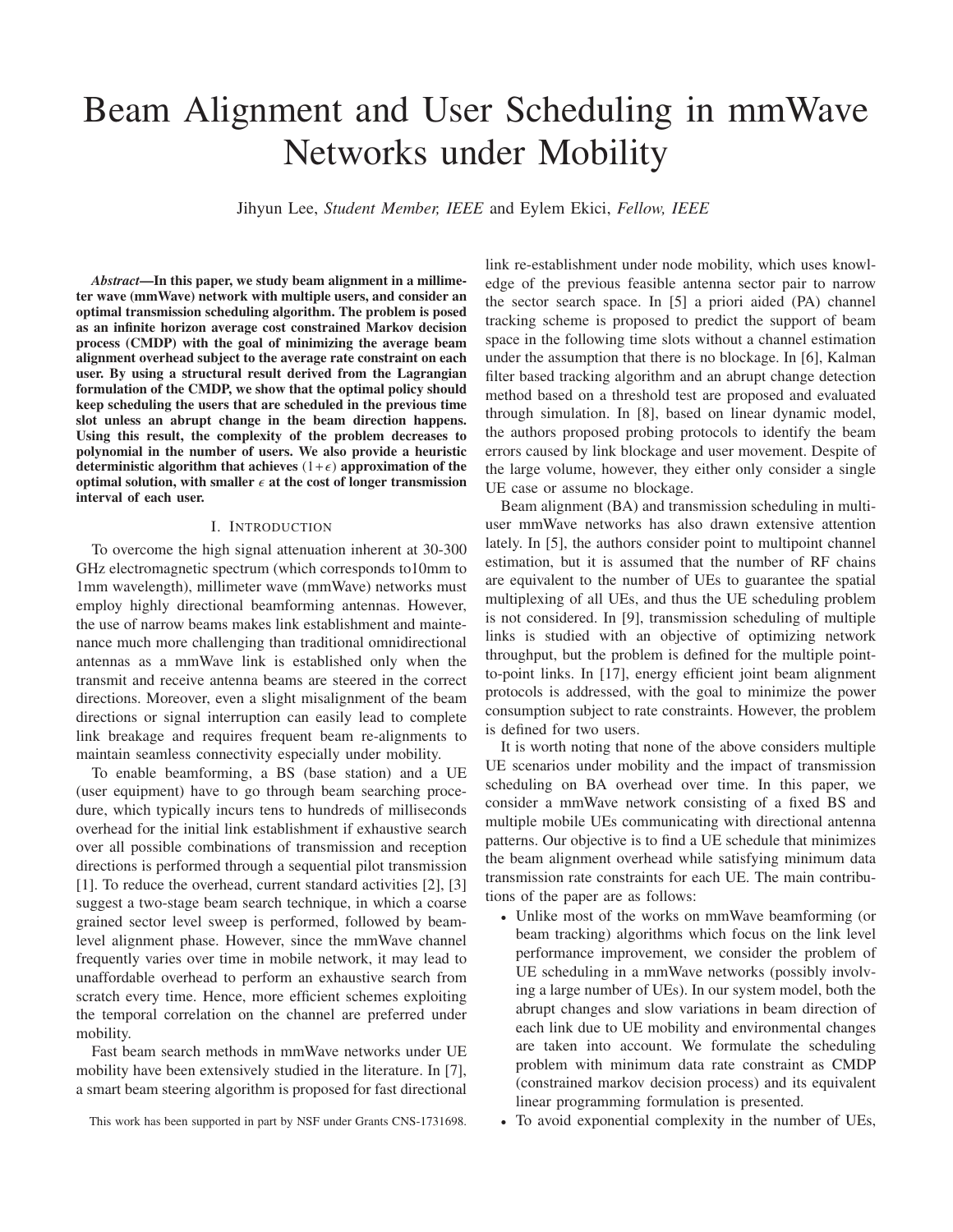# Beam Alignment and User Scheduling in mmWave Networks under Mobility

Jihyun Lee, *Student Member, IEEE* and Eylem Ekici, *Fellow, IEEE*

*Abstract*—In this paper, we study beam alignment in a millimeter wave (mmWave) network with multiple users, and consider an optimal transmission scheduling algorithm. The problem is posed as an infinite horizon average cost constrained Markov decision process (CMDP) with the goal of minimizing the average beam alignment overhead subject to the average rate constraint on each user. By using a structural result derived from the Lagrangian formulation of the CMDP, we show that the optimal policy should keep scheduling the users that are scheduled in the previous time slot unless an abrupt change in the beam direction happens. Using this result, the complexity of the problem decreases to polynomial in the number of users. We also provide a heuristic deterministic algorithm that achieves  $(1+\epsilon)$  approximation of the optimal solution, with smaller  $\epsilon$  at the cost of longer transmission interval of each user.

#### I. INTRODUCTION

To overcome the high signal attenuation inherent at 30-300 GHz electromagnetic spectrum (which corresponds to10mm to 1mm wavelength), millimeter wave (mmWave) networks must employ highly directional beamforming antennas. However, the use of narrow beams makes link establishment and maintenance much more challenging than traditional omnidirectional antennas as a mmWave link is established only when the transmit and receive antenna beams are steered in the correct directions. Moreover, even a slight misalignment of the beam directions or signal interruption can easily lead to complete link breakage and requires frequent beam re-alignments to maintain seamless connectivity especially under mobility.

To enable beamforming, a BS (base station) and a UE (user equipment) have to go through beam searching procedure, which typically incurs tens to hundreds of milliseconds overhead for the initial link establishment if exhaustive search over all possible combinations of transmission and reception directions is performed through a sequential pilot transmission [1]. To reduce the overhead, current standard activities [2], [3] suggest a two-stage beam search technique, in which a coarse grained sector level sweep is performed, followed by beamlevel alignment phase. However, since the mmWave channel frequently varies over time in mobile network, it may lead to unaffordable overhead to perform an exhaustive search from scratch every time. Hence, more efficient schemes exploiting the temporal correlation on the channel are preferred under mobility.

Fast beam search methods in mmWave networks under UE mobility have been extensively studied in the literature. In [7], a smart beam steering algorithm is proposed for fast directional link re-establishment under node mobility, which uses knowledge of the previous feasible antenna sector pair to narrow the sector search space. In [5] a priori aided (PA) channel tracking scheme is proposed to predict the support of beam space in the following time slots without a channel estimation under the assumption that there is no blockage. In [6], Kalman filter based tracking algorithm and an abrupt change detection method based on a threshold test are proposed and evaluated through simulation. In [8], based on linear dynamic model, the authors proposed probing protocols to identify the beam errors caused by link blockage and user movement. Despite of the large volume, however, they either only consider a single UE case or assume no blockage.

Beam alignment (BA) and transmission scheduling in multiuser mmWave networks has also drawn extensive attention lately. In [5], the authors consider point to multipoint channel estimation, but it is assumed that the number of RF chains are equivalent to the number of UEs to guarantee the spatial multiplexing of all UEs, and thus the UE scheduling problem is not considered. In [9], transmission scheduling of multiple links is studied with an objective of optimizing network throughput, but the problem is defined for the multiple pointto-point links. In [17], energy efficient joint beam alignment protocols is addressed, with the goal to minimize the power consumption subject to rate constraints. However, the problem is defined for two users.

It is worth noting that none of the above considers multiple UE scenarios under mobility and the impact of transmission scheduling on BA overhead over time. In this paper, we consider a mmWave network consisting of a fixed BS and multiple mobile UEs communicating with directional antenna patterns. Our objective is to find a UE schedule that minimizes the beam alignment overhead while satisfying minimum data transmission rate constraints for each UE. The main contributions of the paper are as follows:

- Unlike most of the works on mmWave beamforming (or beam tracking) algorithms which focus on the link level performance improvement, we consider the problem of UE scheduling in a mmWave networks (possibly involving a large number of UEs). In our system model, both the abrupt changes and slow variations in beam direction of each link due to UE mobility and environmental changes are taken into account. We formulate the scheduling problem with minimum data rate constraint as CMDP (constrained markov decision process) and its equivalent linear programming formulation is presented.
- To avoid exponential complexity in the number of UEs,

This work has been supported in part by NSF under Grants CNS-1731698.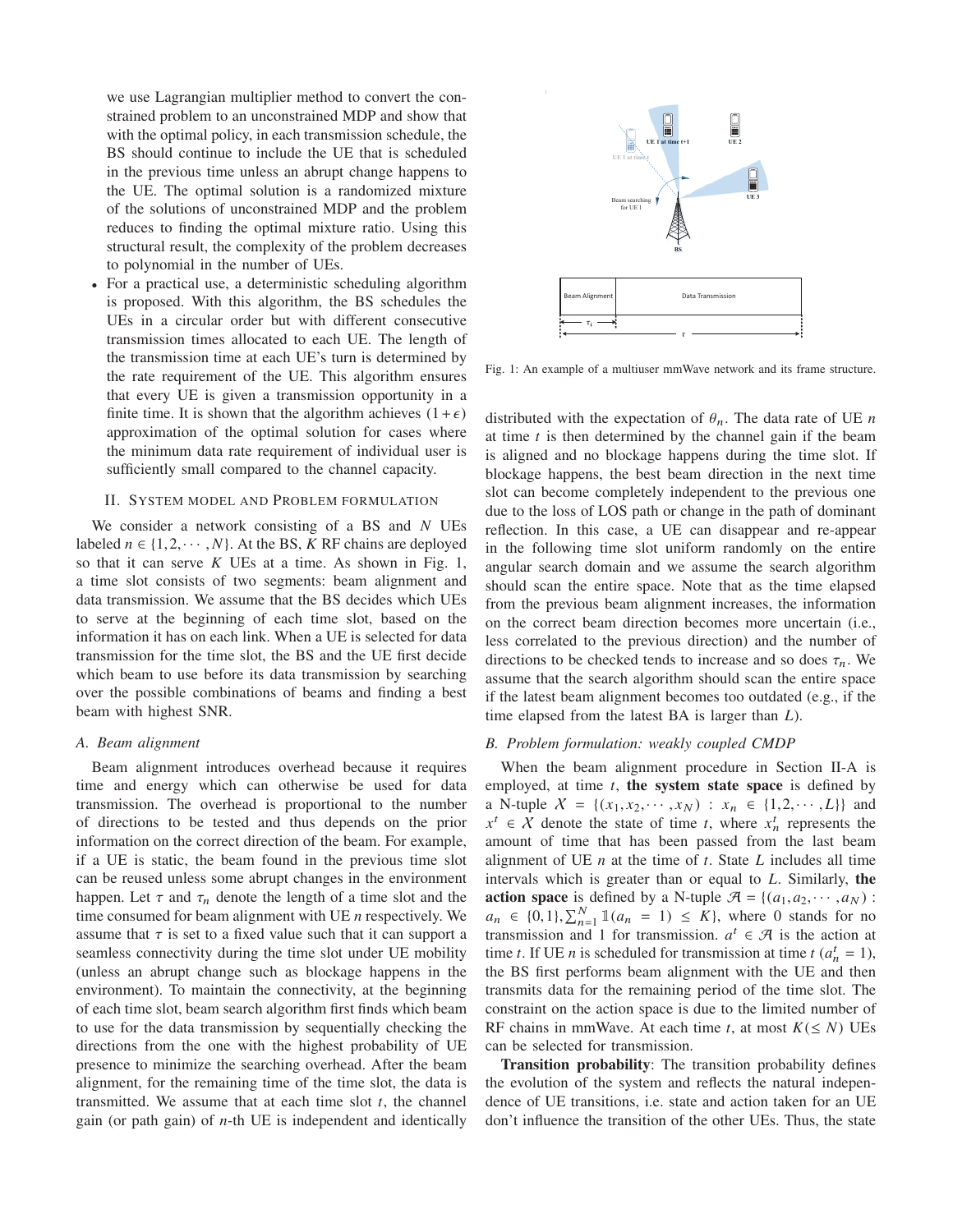we use Lagrangian multiplier method to convert the constrained problem to an unconstrained MDP and show that with the optimal policy, in each transmission schedule, the BS should continue to include the UE that is scheduled in the previous time unless an abrupt change happens to the UE. The optimal solution is a randomized mixture of the solutions of unconstrained MDP and the problem reduces to finding the optimal mixture ratio. Using this structural result, the complexity of the problem decreases to polynomial in the number of UEs.

• For a practical use, a deterministic scheduling algorithm is proposed. With this algorithm, the BS schedules the UEs in a circular order but with different consecutive transmission times allocated to each UE. The length of the transmission time at each UE's turn is determined by the rate requirement of the UE. This algorithm ensures that every UE is given a transmission opportunity in a finite time. It is shown that the algorithm achieves  $(1+\epsilon)$ approximation of the optimal solution for cases where the minimum data rate requirement of individual user is sufficiently small compared to the channel capacity.

#### II. SYSTEM MODEL AND PROBLEM FORMULATION

We consider a network consisting of a BS and *N* UEs labeled  $n \in \{1, 2, \dots, N\}$ . At the BS, *K* RF chains are deployed so that it can serve *K* UEs at a time. As shown in Fig. 1, a time slot consists of two segments: beam alignment and data transmission. We assume that the BS decides which UEs to serve at the beginning of each time slot, based on the information it has on each link. When a UE is selected for data transmission for the time slot, the BS and the UE first decide which beam to use before its data transmission by searching over the possible combinations of beams and finding a best beam with highest SNR.

#### *A. Beam alignment*

Beam alignment introduces overhead because it requires time and energy which can otherwise be used for data transmission. The overhead is proportional to the number of directions to be tested and thus depends on the prior information on the correct direction of the beam. For example, if a UE is static, the beam found in the previous time slot can be reused unless some abrupt changes in the environment happen. Let  $\tau$  and  $\tau_n$  denote the length of a time slot and the time consumed for beam alignment with UE *n* respectively. We assume that  $\tau$  is set to a fixed value such that it can support a seamless connectivity during the time slot under UE mobility (unless an abrupt change such as blockage happens in the environment). To maintain the connectivity, at the beginning of each time slot, beam search algorithm first finds which beam to use for the data transmission by sequentially checking the directions from the one with the highest probability of UE presence to minimize the searching overhead. After the beam alignment, for the remaining time of the time slot, the data is transmitted. We assume that at each time slot *t*, the channel gain (or path gain) of *n*-th UE is independent and identically



Fig. 1: An example of a multiuser mmWave network and its frame structure.

distributed with the expectation of  $\theta_n$ . The data rate of UE *n* at time *t* is then determined by the channel gain if the beam is aligned and no blockage happens during the time slot. If blockage happens, the best beam direction in the next time slot can become completely independent to the previous one due to the loss of LOS path or change in the path of dominant reflection. In this case, a UE can disappear and re-appear in the following time slot uniform randomly on the entire angular search domain and we assume the search algorithm should scan the entire space. Note that as the time elapsed from the previous beam alignment increases, the information on the correct beam direction becomes more uncertain (i.e., less correlated to the previous direction) and the number of directions to be checked tends to increase and so does  $\tau_n$ . We assume that the search algorithm should scan the entire space if the latest beam alignment becomes too outdated (e.g., if the time elapsed from the latest BA is larger than *L*).

# *B. Problem formulation: weakly coupled CMDP*

When the beam alignment procedure in Section II-A is employed, at time *t*, the system state space is defined by a N-tuple  $X = \{(x_1, x_2, \dots, x_N) : x_n \in \{1, 2, \dots, L\} \}$  and  $x^t \in X$  denote the state of time *t*, where  $x_n^t$  represents the amount of time that has been passed from the last beam alignment of UE *n* at the time of *t*. State *L* includes all time intervals which is greater than or equal to *L*. Similarly, the **action space** is defined by a N-tuple  $\mathcal{A} = \{(a_1, a_2, \dots, a_N) :$  $a_n \in \{0, 1\}, \sum_{n=1}^N \mathbb{1}(a_n = 1) \leq K\}$ , where 0 stands for no transmission and 1 for transmission.  $a^t \in \mathcal{A}$  is the action at time *t*. If UE *n* is scheduled for transmission at time  $t$  ( $a_n^t = 1$ ), the BS first performs beam alignment with the UE and then transmits data for the remaining period of the time slot. The constraint on the action space is due to the limited number of RF chains in mmWave. At each time *t*, at most  $K(\leq N)$  UEs can be selected for transmission.

Transition probability: The transition probability defines the evolution of the system and reflects the natural independence of UE transitions, i.e. state and action taken for an UE don't influence the transition of the other UEs. Thus, the state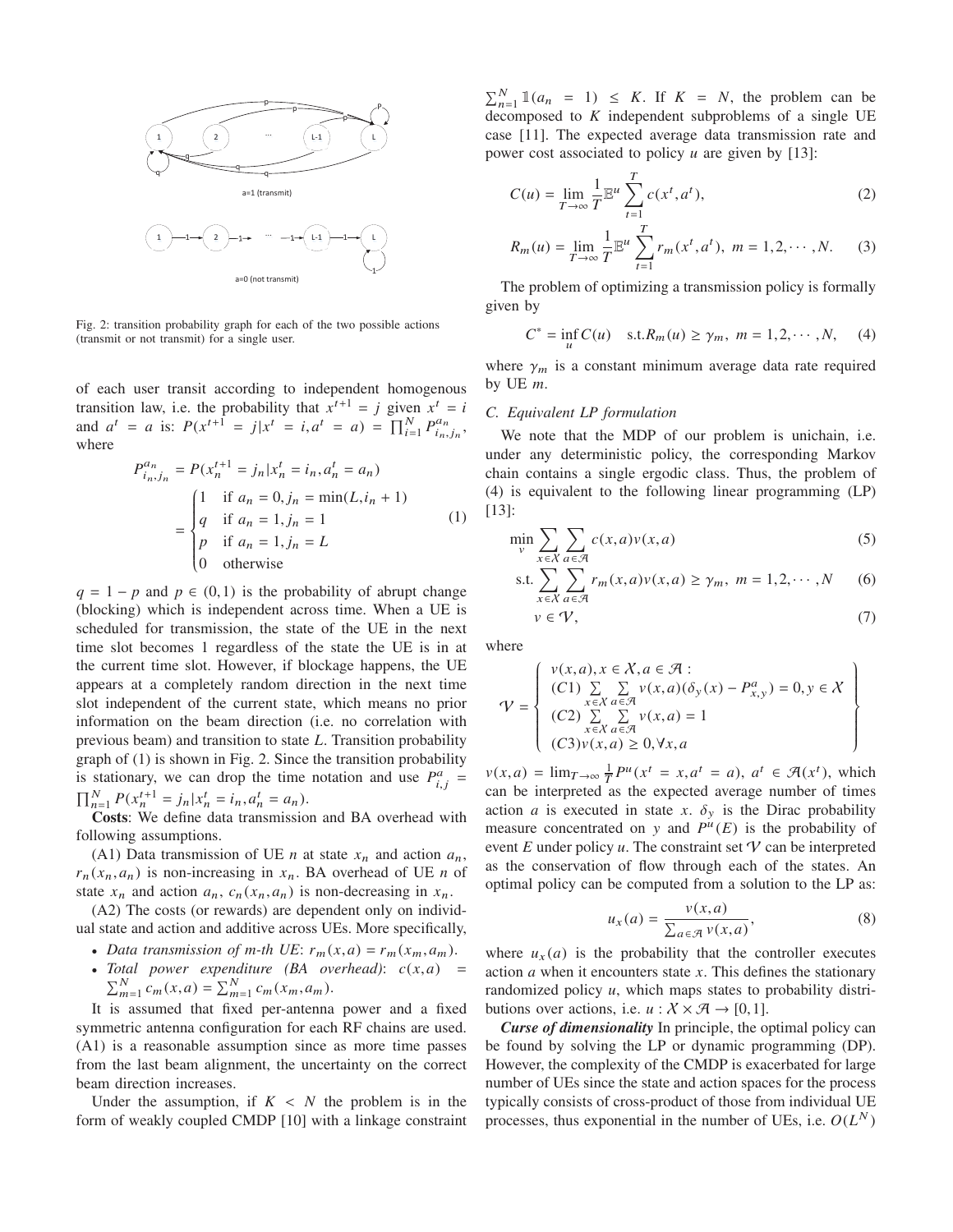

Fig. 2: transition probability graph for each of the two possible actions (transmit or not transmit) for a single user.

of each user transit according to independent homogenous transition law, i.e. the probability that  $x^{t+1} = j$  given  $x^t = i$ and  $a^t = a$  is:  $P(x^{t+1} = j | x^t = i, a^t = a) = \prod_{i=1}^{N} P_{i_n, j_n}^{a_n}$ , where

$$
P_{i_n,j_n}^{a_n} = P(x_n^{t+1} = j_n | x_n^t = i_n, a_n^t = a_n)
$$
  
= 
$$
\begin{cases} 1 & \text{if } a_n = 0, j_n = \min(L, i_n + 1) \\ q & \text{if } a_n = 1, j_n = 1 \\ p & \text{if } a_n = 1, j_n = L \\ 0 & \text{otherwise} \end{cases}
$$
 (1)

 $q = 1 - p$  and  $p \in (0, 1)$  is the probability of abrupt change (blocking) which is independent across time. When a UE is scheduled for transmission, the state of the UE in the next time slot becomes 1 regardless of the state the UE is in at the current time slot. However, if blockage happens, the UE appears at a completely random direction in the next time slot independent of the current state, which means no prior information on the beam direction (i.e. no correlation with previous beam) and transition to state *L*. Transition probability graph of (1) is shown in Fig. 2. Since the transition probability is stationary, we can drop the time notation and use  $P_{i,j}^a$  =  $\prod_{n=1}^{N} P(x_n^{t+1} = j_n | x_n^t = i_n, a_n^t = a_n).$ 

Costs: We define data transmission and BA overhead with following assumptions.

(A1) Data transmission of UE *n* at state  $x_n$  and action  $a_n$ ,  $r_n(x_n, a_n)$  is non-increasing in  $x_n$ . BA overhead of UE *n* of state  $x_n$  and action  $a_n$ ,  $c_n(x_n, a_n)$  is non-decreasing in  $x_n$ .

(A2) The costs (or rewards) are dependent only on individual state and action and additive across UEs. More specifically,

- *Data transmission of m-th UE:*  $r_m(x,a) = r_m(x_m,a_m)$ .
- *Total power expenditure (BA overhead):*  $c(x, a) = \sum_{m=1}^{N} c_m(x, a) = \sum_{m=1}^{N} c_m(x_m, a_m)$ .

It is assumed that fixed per-antenna power and a fixed symmetric antenna configuration for each RF chains are used. (A1) is a reasonable assumption since as more time passes from the last beam alignment, the uncertainty on the correct beam direction increases.

Under the assumption, if  $K < N$  the problem is in the form of weakly coupled CMDP [10] with a linkage constraint

 $\sum_{n=1}^{N} \mathbb{1}(a_n = 1) \leq K$ . If  $K = N$ , the problem can be decomposed to *K* independent subproblems of a single UE case [11]. The expected average data transmission rate and power cost associated to policy *u* are given by [13]:

$$
C(u) = \lim_{T \to \infty} \frac{1}{T} \mathbb{E}^u \sum_{t=1}^T c(x^t, a^t),
$$
 (2)

$$
R_m(u) = \lim_{T \to \infty} \frac{1}{T} \mathbb{E}^u \sum_{t=1}^T r_m(x^t, a^t), \ m = 1, 2, \cdots, N. \tag{3}
$$

The problem of optimizing a transmission policy is formally given by

$$
C^* = \inf_u C(u)
$$
 s.t. $R_m(u) \ge \gamma_m$ ,  $m = 1, 2, \dots, N$ , (4)

where  $\gamma_m$  is a constant minimum average data rate required by UE *m*.

## *C. Equivalent LP formulation*

We note that the MDP of our problem is unichain, i.e. under any deterministic policy, the corresponding Markov chain contains a single ergodic class. Thus, the problem of (4) is equivalent to the following linear programming (LP) [13]:

$$
\min_{v} \sum_{x \in \mathcal{X}} \sum_{a \in \mathcal{A}} c(x, a) v(x, a) \tag{5}
$$

s.t. 
$$
\sum_{x \in \mathcal{X}} \sum_{a \in \mathcal{A}} r_m(x, a) v(x, a) \ge \gamma_m, \ m = 1, 2, \cdots, N
$$
 (6)

$$
v \in \mathcal{V},\tag{7}
$$

where

$$
\mathcal{V} = \left\{ \begin{array}{l} v(x,a), x \in \mathcal{X}, a \in \mathcal{A} : \\ (C1) \sum_{x \in \mathcal{X}} \sum_{a \in \mathcal{A}} v(x,a) (\delta_y(x) - P_{x,y}^a) = 0, y \in \mathcal{X} \\ (C2) \sum_{x \in \mathcal{X}} \sum_{a \in \mathcal{A}} v(x,a) = 1 \\ (C3)v(x,a) \ge 0, \forall x, a \end{array} \right\}
$$

 $v(x,a) = \lim_{T \to \infty} \frac{1}{T} P^u(x^t = x, a^t = a), a^t \in \mathcal{F}(x^t),$  which can be interpreted as the expected average number of times action *a* is executed in state *x*.  $\delta_y$  is the Dirac probability measure concentrated on y and  $P^{u}(E)$  is the probability of event  $E$  under policy  $u$ . The constraint set  $\mathcal V$  can be interpreted as the conservation of flow through each of the states. An optimal policy can be computed from a solution to the LP as:

$$
u_x(a) = \frac{v(x,a)}{\sum_{a \in \mathcal{A}} v(x,a)},
$$
\n(8)

where  $u_x(a)$  is the probability that the controller executes action *a* when it encounters state *x*. This defines the stationary randomized policy *u*, which maps states to probability distributions over actions, i.e.  $u : \mathcal{X} \times \mathcal{A} \rightarrow [0,1].$ 

*Curse of dimensionality* In principle, the optimal policy can be found by solving the LP or dynamic programming (DP). However, the complexity of the CMDP is exacerbated for large number of UEs since the state and action spaces for the process typically consists of cross-product of those from individual UE processes, thus exponential in the number of UEs, i.e.  $O(L^N)$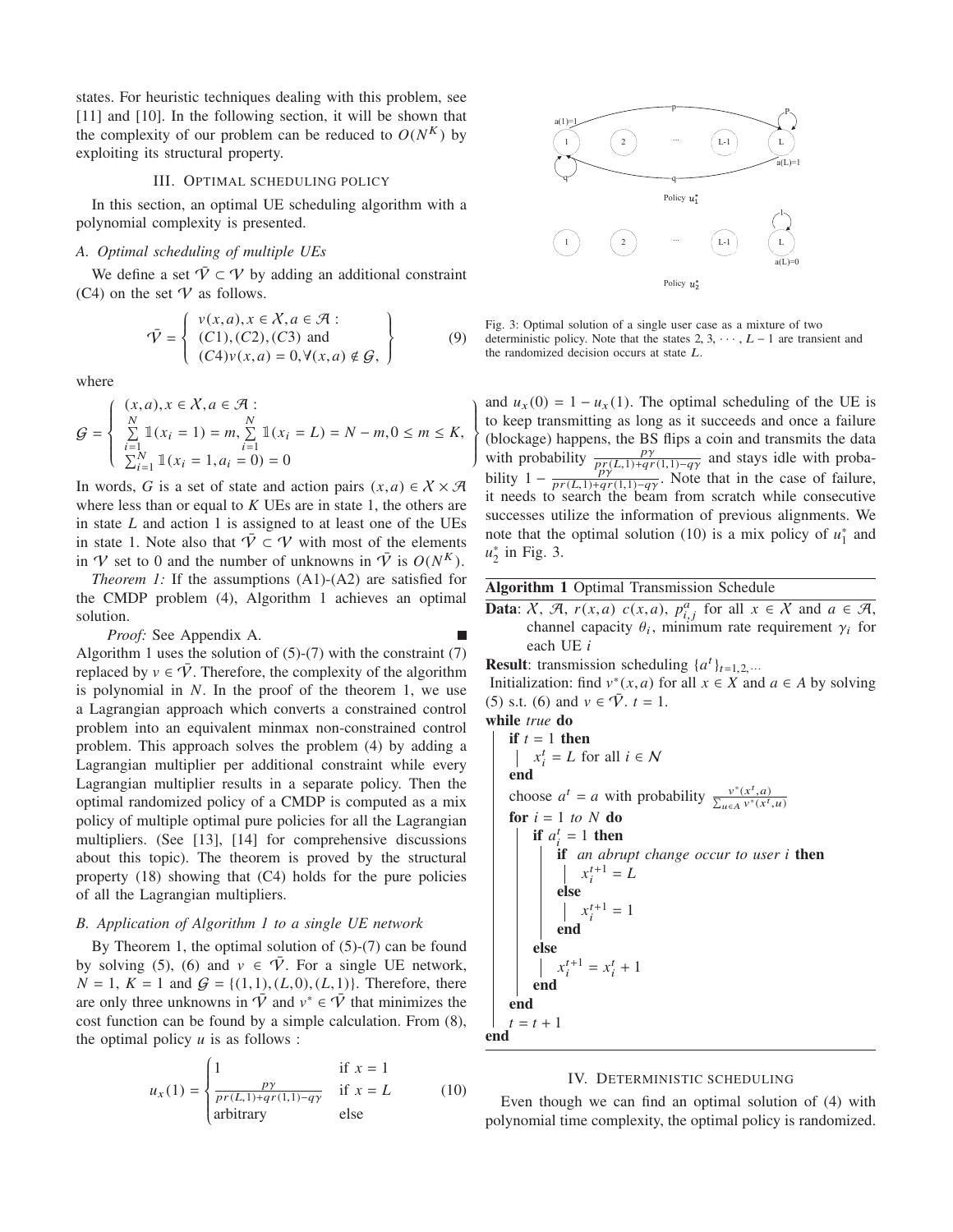states. For heuristic techniques dealing with this problem, see [11] and [10]. In the following section, it will be shown that the complexity of our problem can be reduced to  $O(N^{K})$  by exploiting its structural property.

## III. OPTIMAL SCHEDULING POLICY

In this section, an optimal UE scheduling algorithm with a polynomial complexity is presented.

## *A. Optimal scheduling of multiple UEs*

We define a set  $\overline{V} \subset V$  by adding an additional constraint (C4) on the set  $V$  as follows.

$$
\bar{\mathcal{V}} = \left\{ \begin{array}{l} v(x, a), x \in \mathcal{X}, a \in \mathcal{A} : \\ (C1), (C2), (C3) \text{ and} \\ (C4)v(x, a) = 0, \forall (x, a) \notin \mathcal{G}, \end{array} \right\}
$$
(9)

where

$$
\mathcal{G} = \begin{cases} (x, a), x \in \mathcal{X}, a \in \mathcal{A} : \\ \sum_{i=1}^{N} \mathbb{1}(x_i = 1) = m, \sum_{i=1}^{N} \mathbb{1}(x_i = L) = N - m, 0 \le m \le K, \\ \sum_{i=1}^{N} \mathbb{1}(x_i = 1, a_i = 0) = 0 \end{cases}
$$

In words, *G* is a set of state and action pairs  $(x, a) \in X \times \mathcal{A}$ where less than or equal to *K* UEs are in state 1, the others are in state *L* and action 1 is assigned to at least one of the UEs in state 1. Note also that  $\overline{V} \subset V$  with most of the elements in V set to 0 and the number of unknowns in  $\overline{V}$  is  $O(N^K)$ .

*Theorem 1:* If the assumptions (A1)-(A2) are satisfied for the CMDP problem (4), Algorithm 1 achieves an optimal solution.

*Proof:* See Appendix A.

Algorithm 1 uses the solution of  $(5)-(7)$  with the constraint  $(7)$ replaced by  $v \in \overline{V}$ . Therefore, the complexity of the algorithm is polynomial in *N*. In the proof of the theorem 1, we use a Lagrangian approach which converts a constrained control problem into an equivalent minmax non-constrained control problem. This approach solves the problem (4) by adding a Lagrangian multiplier per additional constraint while every Lagrangian multiplier results in a separate policy. Then the optimal randomized policy of a CMDP is computed as a mix policy of multiple optimal pure policies for all the Lagrangian multipliers. (See [13], [14] for comprehensive discussions about this topic). The theorem is proved by the structural property (18) showing that (C4) holds for the pure policies of all the Lagrangian multipliers.

#### *B. Application of Algorithm 1 to a single UE network*

By Theorem 1, the optimal solution of  $(5)-(7)$  can be found by solving (5), (6) and  $v \in \overline{V}$ . For a single UE network,  $N = 1, K = 1$  and  $G = \{(1,1), (L,0), (L,1)\}$ . Therefore, there are only three unknowns in  $\overline{V}$  and  $v^* \in \overline{V}$  that minimizes the cost function can be found by a simple calculation. From (8), the optimal policy  $u$  is as follows :

$$
u_x(1) = \begin{cases} 1 & \text{if } x = 1\\ \frac{py}{pr(L,1) + qr(1,1) - q\gamma} & \text{if } x = L\\ \text{arbitrary} & \text{else} \end{cases}
$$
(10)



Fig. 3: Optimal solution of a single user case as a mixture of two deterministic policy. Note that the states 2, 3,  $\cdots$  ,  $L-1$  are transient and the randomized decision occurs at state L.

and  $u_x(0) = 1 - u_x(1)$ . The optimal scheduling of the UE is to keep transmitting as long as it succeeds and once a failure (blockage) happens, the BS flips a coin and transmits the data with probability  $\frac{py}{p_y(1,1)+qr(1,1)-q_y}$  and stays idle with probability  $1 - \frac{p_1^{(1)}(x,1)+q_1^{(1)}(x,1)-q_1^{(1)}}{pr(L,1)+qr(1,1)-q_1^{(1)}}$ . Note that in the case of failure, it needs to search the beam from scratch while consecutive successes utilize the information of previous alignments. We note that the optimal solution (10) is a mix policy of  $u_1^*$  and *u*∗ <sup>2</sup> in Fig. 3.

# Algorithm 1 Optimal Transmission Schedule

- Data:  $X$ ,  $\mathcal{A}$ ,  $r(x,a)$   $c(x,a)$ ,  $p_{i,j}^a$  for all  $x \in X$  and  $a \in \mathcal{A}$ , channel capacity  $\theta_i$ , minimum rate requirement  $\gamma_i$  for each UE *i*
- **Result:** transmission scheduling  $\{a^t\}_{t=1,2, \ldots}$

Initialization: find  $v^*(x, a)$  for all  $x \in X$  and  $a \in A$  by solving (5) s.t. (6) and  $v \in \overline{V}$ ,  $t = 1$ .

while *true* do

 $\begin{matrix} \end{matrix}$  $\{$  $\int$ ⎭

\n if 
$$
t = 1
$$
 then\n  $\left| \begin{array}{c} x_i^t = L \text{ for all } i \in \mathbb{N} \\ x_i^t = L \text{ for all } i \in \mathbb{N} \end{array} \right|$ \n choose  $a^t = a$  with probability\n  $\frac{v^*(x^t, a)}{\sum_{u \in A} v^*(x^t, u)}$ \n for  $i = 1$  to  $N$  do\n if  $a_i^t = 1$  then\n if an abrupt change occur to user  $i$  then\n  $\left| \begin{array}{c} x_i^{t+1} = L \\ x_i^{t+1} = 1 \\ end \end{array} \right|$ \n else\n  $\left| \begin{array}{c} x_i^{t+1} = x_i^t + 1 \\ x_i^{t+1} = x_i^t + 1 \\ end \end{array} \right|$ \n end\n end\n  $t = t + 1$ \n

#### IV. DETERMINISTIC SCHEDULING

Even though we can find an optimal solution of (4) with polynomial time complexity, the optimal policy is randomized.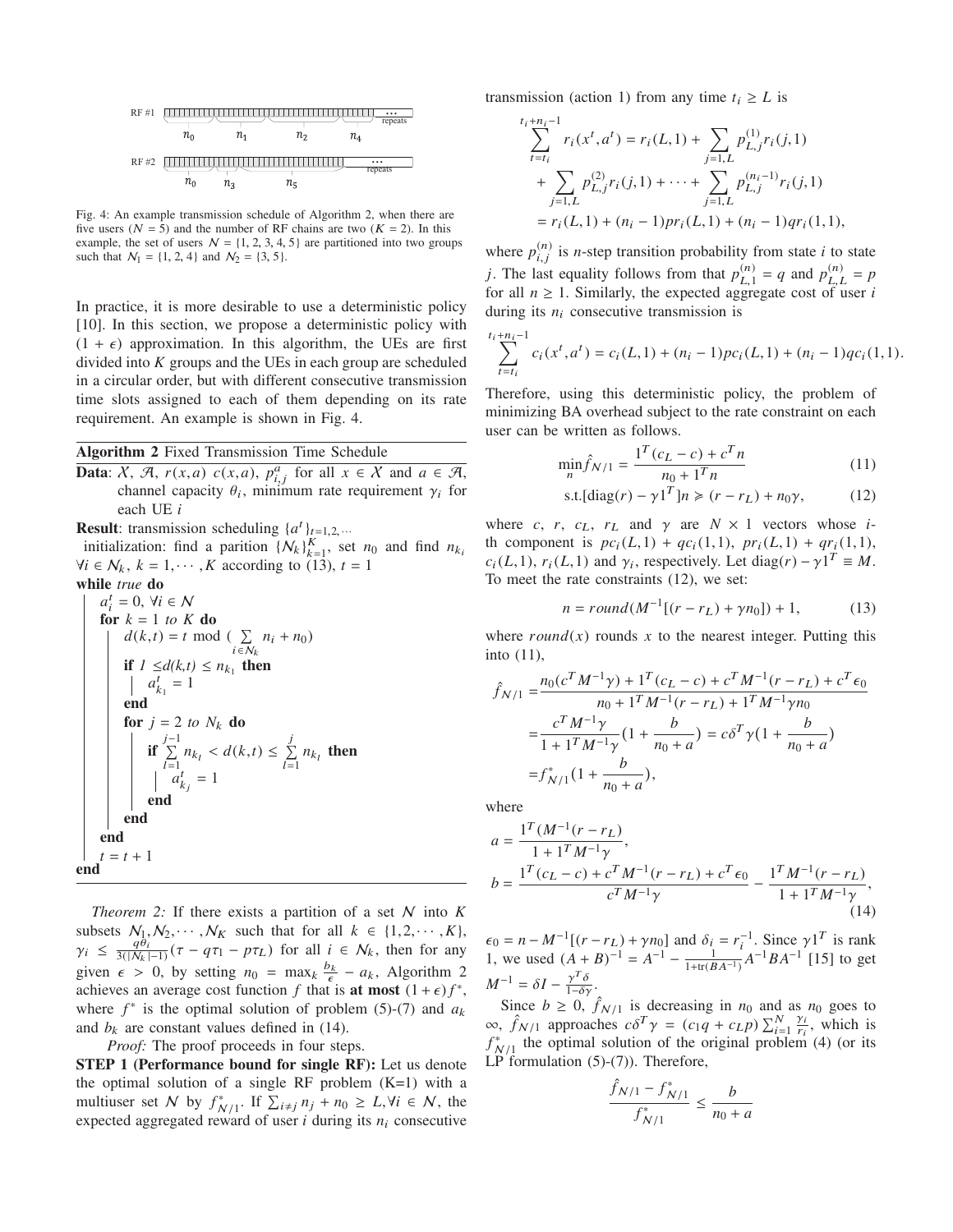

Fig. 4: An example transmission schedule of Algorithm 2, when there are five users ( $N = 5$ ) and the number of RF chains are two ( $K = 2$ ). In this example, the set of users  $N = \{1, 2, 3, 4, 5\}$  are partitioned into two groups such that  $N_1 = \{1, 2, 4\}$  and  $N_2 = \{3, 5\}.$ 

In practice, it is more desirable to use a deterministic policy [10]. In this section, we propose a deterministic policy with  $(1 + \epsilon)$  approximation. In this algorithm, the UEs are first divided into *K* groups and the UEs in each group are scheduled in a circular order, but with different consecutive transmission time slots assigned to each of them depending on its rate requirement. An example is shown in Fig. 4.

**Data:**  $X$ ,  $\mathcal{A}$ ,  $r(x,a)$   $c(x,a)$ ,  $p_{i,j}^a$  for all  $x \in X$  and  $a \in \mathcal{A}$ , channel capacity  $\theta_i$ , minimum rate requirement  $\gamma_i$  for each UE *i*

**Result:** transmission scheduling  $\{a^t\}_{t=1,2, \ldots}$ 

initialization: find a parition  $\{N_k\}_{k=1}^K$ , set  $n_0$  and find  $n_{k_i}$  $\forall i \in \mathcal{N}_k$ ,  $k = 1, \dots, K$  according to (13),  $t = 1$ 

while true do

\n
$$
a_i^t = 0, \forall i \in \mathbb{N}
$$
\nfor  $k = 1$  to  $K$  do

\n
$$
d(k, t) = t \mod (\sum_{i \in \mathbb{N}_k} n_i + n_0)
$$
\nif  $1 \leq d(k, t) \leq n_{k_1}$  then

\n
$$
a_{k_1}^t = 1
$$
\nend

\nfor  $j = 2$  to  $N_k$  do

\n
$$
if \sum_{l=1}^{j-1} n_{k_l} < d(k, t) \leq \sum_{l=1}^{j} n_{k_l}
$$
 then\n
$$
a_{k_j}^{t-1} = 1
$$
\nend

\nend

\nend

\nend

\nend

\nend

\nend

\nend

\nend

*Theorem 2:* If there exists a partition of a set N into *K* subsets  $N_1, N_2, \cdots, N_K$  such that for all  $k \in \{1, 2, \cdots, K\}$ ,  $\gamma_i \leq \frac{q\theta_i}{3(|N_k|-1)}(\tau - q\tau_1 - p\tau_L)$  for all  $i \in N_k$ , then for any given  $\epsilon > 0$ , by setting  $n_0 = \max_k \frac{b_k}{\epsilon} - a_k$ , Algorithm 2 achieves an average cost function *f* that is **at most**  $(1 + \epsilon)f^*$ , where  $f^*$  is the optimal solution of problem (5)-(7) and  $a_k$ and  $b_k$  are constant values defined in (14).

*Proof:* The proof proceeds in four steps.

STEP 1 (Performance bound for single RF): Let us denote the optimal solution of a single RF problem  $(K=1)$  with a multiuser set N by  $f_{N/1}^*$ . If  $\sum_{i \neq j} n_j + n_0 \geq L$ ,  $\forall i \in \mathcal{N}$ , the expected aggregated reward of user  $i$  during its  $n_i$  consecutive transmission (action 1) from any time  $t_i \geq L$  is

$$
t_{i+n_{i}-1}^{t_{i+n_{i}-1}} r_{i}(x^{t}, a^{t}) = r_{i}(L, 1) + \sum_{j=1, L} p_{L, j}^{(1)} r_{i}(j, 1)
$$
  
+ 
$$
\sum_{j=1, L} p_{L, j}^{(2)} r_{i}(j, 1) + \cdots + \sum_{j=1, L} p_{L, j}^{(n_{i}-1)} r_{i}(j, 1)
$$
  
= 
$$
r_{i}(L, 1) + (n_{i} - 1) pr_{i}(L, 1) + (n_{i} - 1) qr_{i}(1, 1),
$$

where  $p_{i,j}^{(n)}$  is *n*-step transition probability from state *i* to state *j*. The last equality follows from that  $p_{L,1}^{(n)} = q$  and  $p_{L,L}^{(n)} = p$ for all  $n \geq 1$ . Similarly, the expected aggregate cost of user *i* during its  $n_i$  consecutive transmission is

$$
\sum_{t=t_i}^{t_i+n_i-1} c_i(x^t, a^t) = c_i(L, 1) + (n_i - 1)pc_i(L, 1) + (n_i - 1)qc_i(1, 1).
$$

Therefore, using this deterministic policy, the problem of minimizing BA overhead subject to the rate constraint on each user can be written as follows.

$$
\min_{n} \hat{f}_{N/1} = \frac{1^{T}(c_{L} - c) + c^{T}n}{n_{0} + 1^{T}n}
$$
\n(11)

$$
\text{s.t.} [\text{diag}(r) - \gamma \mathbf{1}^T] n \ge (r - r_L) + n_0 \gamma,\tag{12}
$$

where *c*, *r*, *c*<sub>L</sub>, *r*<sub>L</sub> and  $\gamma$  are  $N \times 1$  vectors whose *i*th component is  $pc_i(L,1) + qc_i(1,1), pr_i(L,1) + qr_i(1,1),$  $c_i(L,1)$ ,  $r_i(L,1)$  and  $\gamma_i$ , respectively. Let diag(*r*) –  $\gamma 1^T \equiv M$ . To meet the rate constraints (12), we set:

$$
n = round(M^{-1}[(r - r_L) + \gamma n_0]) + 1,\tag{13}
$$

where  $round(x)$  rounds x to the nearest integer. Putting this into (11),

$$
\hat{f}_{N/1} = \frac{n_0(c^T M^{-1} \gamma) + 1^T (c_L - c) + c^T M^{-1} (r - r_L) + c^T \epsilon_0}{n_0 + 1^T M^{-1} (r - r_L) + 1^T M^{-1} \gamma n_0}
$$
\n
$$
= \frac{c^T M^{-1} \gamma}{1 + 1^T M^{-1} \gamma} (1 + \frac{b}{n_0 + a}) = c \delta^T \gamma (1 + \frac{b}{n_0 + a})
$$
\n
$$
= f_{N/1}^* (1 + \frac{b}{n_0 + a}),
$$

where

$$
a = \frac{1^T (M^{-1}(r - r_L))}{1 + 1^T M^{-1} \gamma},
$$
  
\n
$$
b = \frac{1^T (c_L - c) + c^T M^{-1} (r - r_L) + c^T \epsilon_0}{c^T M^{-1} \gamma} - \frac{1^T M^{-1} (r - r_L)}{1 + 1^T M^{-1} \gamma},
$$
  
\n(14)

 $\epsilon_0 = n - M^{-1}[(r - r_L) + \gamma n_0]$  and  $\delta_i = r_i^{-1}$ . Since  $\gamma 1^T$  is rank 1, we used  $(A + B)^{-1} = A^{-1} - \frac{1}{1 + tr(BA^{-1})}A^{-1}BA^{-1}$  [15] to get  $M^{-1} = \delta I - \frac{\gamma^T \delta}{1 - \delta \gamma}.$ 

Since  $b \ge 0$ ,  $\hat{f}_{N/1}$  is decreasing in  $n_0$  and as  $n_0$  goes to  $\infty$ ,  $\hat{f}_{N/1}$  approaches  $c\delta^T \gamma = (c_1q + c_Lp) \sum_{i=1}^N \frac{\gamma_i}{r_i}$  $\frac{\gamma_i}{r_i}$ , which is  $f_{N/1}^*$  the optimal solution of the original problem (4) (or its<br> $F_{N/1}^*$ LP formulation (5)-(7)). Therefore,

$$
\frac{\hat{f}_{N/1} - f_{N/1}^*}{f_{N/1}^*} \le \frac{b}{n_0 + a}
$$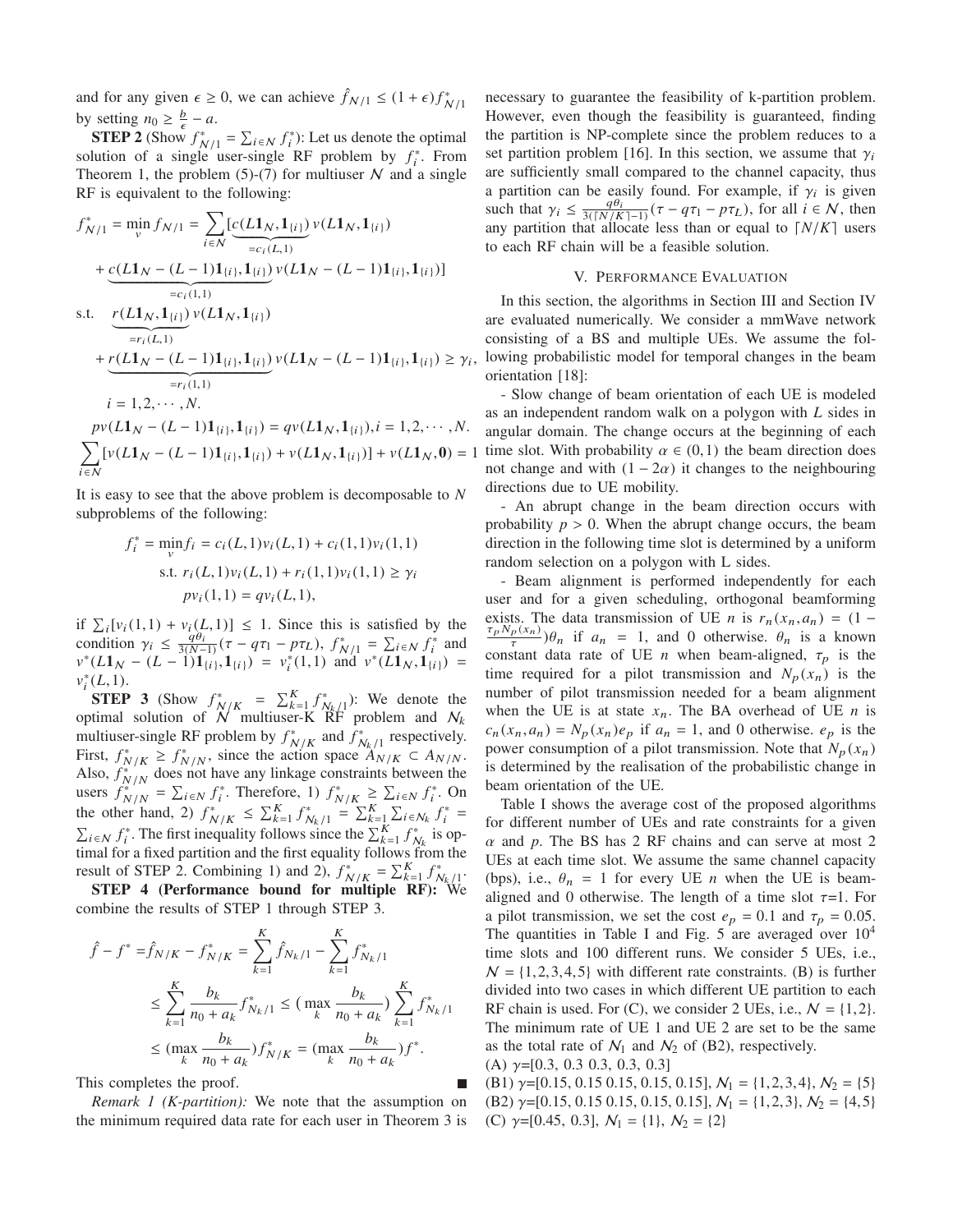and for any given  $\epsilon \ge 0$ , we can achieve  $\hat{f}_{N/1} \le (1 + \epsilon) f_{N/1}^*$ by setting  $n_0 \geq \frac{b}{\epsilon} - a$ .

**STEP 2** (Show  $f_{N/1}^* = \sum_{i \in N} f_i^*$ ): Let us denote the optimal solution of a single user-single RF problem by  $f_i^*$ . From Theorem 1, the problem  $(5)-(7)$  for multiuser N and a single RF is equivalent to the following:

$$
f_{N/1}^{*} = \min_{v} f_{N/1} = \sum_{i \in N} \left[ \underbrace{c(L1_{N}, 1_{\{i\}})}_{=c_{i}(L, 1)} v(L1_{N}, 1_{\{i\}}) + \underbrace{c(L1_{N} - (L - 1)1_{\{i\}}, 1_{\{i\}})}_{=c_{i}(1, 1)} v(L1_{N} - (L - 1)1_{\{i\}}, 1_{\{i\}}) \right]
$$
\ns.t. 
$$
\underbrace{r(L1_{N}, 1_{\{i\}})}_{=r_{i}(L, 1)} v(L1_{N}, 1_{\{i\}})
$$
\n
$$
+ \underbrace{r(L1_{N} - (L - 1)1_{\{i\}}, 1_{\{i\}})}_{=r_{i}(1, 1)} v(L1_{N} - (L - 1)1_{\{i\}}, 1_{\{i\}}) \geq \gamma_{i},
$$
\n
$$
p_{V}(L1_{N} - (L - 1)1_{\{i\}}, 1_{\{i\}}) = q_{V}(L1_{N}, 1_{\{i\}}), i = 1, 2, \cdots, N.
$$
\n
$$
\sum_{i \in N} [v(L1_{N} - (L - 1)1_{\{i\}}, 1_{\{i\}}) + v(L1_{N}, 1_{\{i\}})] + v(L1_{N}, 0) = 1
$$

It is easy to see that the above problem is decomposable to *N* subproblems of the following:

$$
f_i^* = \min_{v} f_i = c_i(L, 1)v_i(L, 1) + c_i(1, 1)v_i(1, 1)
$$
  
s.t.  $r_i(L, 1)v_i(L, 1) + r_i(1, 1)v_i(1, 1) \ge \gamma_i$   

$$
pv_i(1, 1) = qv_i(L, 1),
$$

if  $\sum_{i} [v_i(1,1) + v_i(L,1)] \leq 1$ . Since this is satisfied by the condition  $\gamma_i \leq \frac{q\theta_i}{3(N-1)}(\tau - q\tau_1 - p\tau_L)$ ,  $f_{N/1}^* = \sum_{i \in \mathcal{N}} f_i^*$  and  $v^*(L1_N - (L-1)1_{\{i\}}, 1_{\{i\}}) = v_i^*(1,1)$  and  $v^*(L1_N, 1_{\{i\}}) =$  $v_i^*(L,1)$ .

**STEP 3** (Show  $f_{N/K}^* = \sum_{k=1}^K f_{N_k/1}^*$ ): We denote the optimal solution of  $N$  multiuser-K RF problem and  $N_k$ multiuser-single RF problem by  $f_{N/K}^*$  and  $f_{N_k/1}^*$  respectively.<br>First,  $f_{N/K}^* \ge f_{N/N}^*$ , since the action space  $A_{N/K} \subset A_{N/N}$ . Also,  $f_{N/N}^*$  does not have any linkage constraints between the users  $f_{N/N}^* = \sum_{i \in N} f_i^*$ . Therefore, 1)  $f_{N/K}^* \ge \sum_{i \in N} f_i^*$ . On the other hand, 2)  $f_{N/K}^* \le \sum_{k=1}^K f_{N_k/1}^* = \sum_{k=1}^K \sum_{i \in N_k} f_i^* =$  $\sum_{i \in \mathbb{N}} f_i^*$ . The first inequality follows since the  $\sum_{k=1}^K f_{N_k}^*$  is optimal for a fixed partition and the first equality follows from the result of STEP 2. Combining 1) and 2),  $f_{N/K}^* = \sum_{k=1}^K f_{N_k/1}^*$ .<br>STEP 4 (Performance bound for multiple RF): We

combine the results of STEP 1 through STEP 3.

$$
\hat{f} - f^* = \hat{f}_{N/K} - f^*_{N/K} = \sum_{k=1}^K \hat{f}_{N_k/1} - \sum_{k=1}^K f^*_{N_k/1}
$$
\n
$$
\leq \sum_{k=1}^K \frac{b_k}{n_0 + a_k} f^*_{N_k/1} \leq (\max_k \frac{b_k}{n_0 + a_k}) \sum_{k=1}^K f^*_{N_k/1}
$$
\n
$$
\leq (\max_k \frac{b_k}{n_0 + a_k}) f^*_{N/K} = (\max_k \frac{b_k}{n_0 + a_k}) f^*.
$$

This completes the proof.

*Remark 1 (K-partition):* We note that the assumption on the minimum required data rate for each user in Theorem 3 is necessary to guarantee the feasibility of k-partition problem. However, even though the feasibility is guaranteed, finding the partition is NP-complete since the problem reduces to a set partition problem [16]. In this section, we assume that  $\gamma_i$ are sufficiently small compared to the channel capacity, thus a partition can be easily found. For example, if  $\gamma_i$  is given such that  $\gamma_i \leq \frac{q\theta_i}{3\sqrt{N/K-1}}(\tau - q\tau_1 - p\tau_L)$ , for all  $i \in \mathcal{N}$ , then any partition that allocate less than or equal to  $\lceil N/K \rceil$  users to each RF chain will be a feasible solution.

# V. PERFORMANCE EVALUATION

In this section, the algorithms in Section III and Section IV are evaluated numerically. We consider a mmWave network consisting of a BS and multiple UEs. We assume the following probabilistic model for temporal changes in the beam orientation [18]:

- Slow change of beam orientation of each UE is modeled as an independent random walk on a polygon with *L* sides in angular domain. The change occurs at the beginning of each time slot. With probability  $\alpha \in (0,1)$  the beam direction does not change and with  $(1 - 2\alpha)$  it changes to the neighbouring directions due to UE mobility.

- An abrupt change in the beam direction occurs with probability  $p > 0$ . When the abrupt change occurs, the beam direction in the following time slot is determined by a uniform random selection on a polygon with L sides.

- Beam alignment is performed independently for each user and for a given scheduling, orthogonal beamforming exists. The data transmission of UE *n* is  $r_n(x_n, a_n) = (1 \frac{\tau_p N_p(x_n)}{\tau}$ ) $\theta_n$  if  $a_n = 1$ , and 0 otherwise.  $\theta_n$  is a known constant data rate of UE *n* when beam-aligned,  $\tau_p$  is the time required for a pilot transmission and  $N_p(x_n)$  is the number of pilot transmission needed for a beam alignment when the UE is at state  $x_n$ . The BA overhead of UE *n* is  $c_n(x_n, a_n) = N_p(x_n)e_p$  if  $a_n = 1$ , and 0 otherwise.  $e_p$  is the power consumption of a pilot transmission. Note that  $N_p(x_n)$ is determined by the realisation of the probabilistic change in beam orientation of the UE.

Table I shows the average cost of the proposed algorithms for different number of UEs and rate constraints for a given  $\alpha$  and  $\beta$ . The BS has 2 RF chains and can serve at most 2 UEs at each time slot. We assume the same channel capacity (bps), i.e.,  $\theta_n = 1$  for every UE *n* when the UE is beamaligned and 0 otherwise. The length of a time slot  $\tau=1$ . For a pilot transmission, we set the cost  $e_p = 0.1$  and  $\tau_p = 0.05$ . The quantities in Table I and Fig. 5 are averaged over  $10<sup>4</sup>$ time slots and 100 different runs. We consider 5 UEs, i.e.,  $N = \{1, 2, 3, 4, 5\}$  with different rate constraints. (B) is further divided into two cases in which different UE partition to each RF chain is used. For (C), we consider 2 UEs, i.e.,  $N = \{1, 2\}$ . The minimum rate of UE 1 and UE 2 are set to be the same as the total rate of  $\mathcal{N}_1$  and  $\mathcal{N}_2$  of (B2), respectively. (A)  $\gamma = [0.3, 0.3, 0.3, 0.3, 0.3]$ 

(B1)  $\gamma$ =[0.15, 0.15 0.15, 0.15, 0.15],  $\mathcal{N}_1 = \{1, 2, 3, 4\}, \mathcal{N}_2 = \{5\}$ (B2)  $\gamma$ =[0.15, 0.15 0.15, 0.15, 0.15],  $N_1 = \{1, 2, 3\}, N_2 = \{4, 5\}$ (C)  $\gamma=[0.45, 0.3], N_1 = \{1\}, N_2 = \{2\}$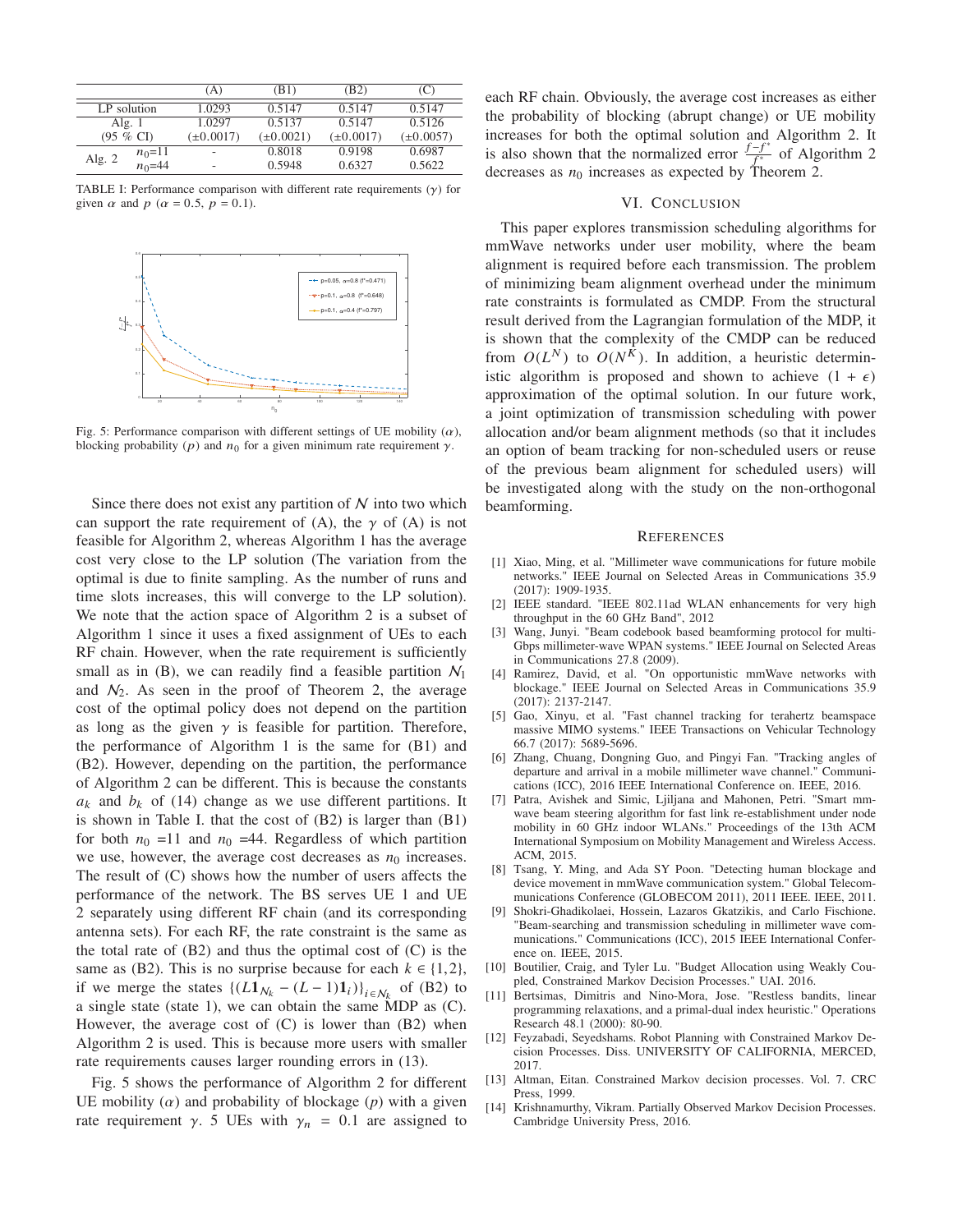|             |            | `A`                      | (B1)           | (B2)           |                |
|-------------|------------|--------------------------|----------------|----------------|----------------|
| LP solution |            | 1.0293                   | 0.5147         | 0.5147         | 0.5147         |
| Alg. $1$    |            | 1.0297                   | 0.5137         | 0.5147         | 0.5126         |
| $(95 \%$ CI |            | $(\pm 0.0017)$           | $(\pm 0.0021)$ | $(\pm 0.0017)$ | $(\pm 0.0057)$ |
| Alg. 2      | $n_0$ =11  | $\overline{\phantom{0}}$ | 0.8018         | 0.9198         | 0.6987         |
|             | $n_0 = 44$ | -                        | 0.5948         | 0.6327         | 0.5622         |

TABLE I: Performance comparison with different rate requirements  $(y)$  for given  $\alpha$  and  $p$  ( $\alpha$  = 0.5,  $p$  = 0.1).



Fig. 5: Performance comparison with different settings of UE mobility  $(\alpha)$ , blocking probability (p) and  $n_0$  for a given minimum rate requirement  $\gamma$ .

Since there does not exist any partition of  $N$  into two which can support the rate requirement of (A), the  $\gamma$  of (A) is not feasible for Algorithm 2, whereas Algorithm 1 has the average cost very close to the LP solution (The variation from the optimal is due to finite sampling. As the number of runs and time slots increases, this will converge to the LP solution). We note that the action space of Algorithm 2 is a subset of Algorithm 1 since it uses a fixed assignment of UEs to each RF chain. However, when the rate requirement is sufficiently small as in (B), we can readily find a feasible partition  $\mathcal{N}_1$ and  $N_2$ . As seen in the proof of Theorem 2, the average cost of the optimal policy does not depend on the partition as long as the given  $\gamma$  is feasible for partition. Therefore, the performance of Algorithm 1 is the same for (B1) and (B2). However, depending on the partition, the performance of Algorithm 2 can be different. This is because the constants  $a_k$  and  $b_k$  of (14) change as we use different partitions. It is shown in Table I. that the cost of (B2) is larger than (B1) for both  $n_0$  =11 and  $n_0$  =44. Regardless of which partition we use, however, the average cost decreases as  $n_0$  increases. The result of (C) shows how the number of users affects the performance of the network. The BS serves UE 1 and UE 2 separately using different RF chain (and its corresponding antenna sets). For each RF, the rate constraint is the same as the total rate of  $(B2)$  and thus the optimal cost of  $(C)$  is the same as (B2). This is no surprise because for each  $k \in \{1, 2\}$ , if we merge the states  $\{(L1_{N_k} - (L-1)1_i)\}_{i \in N_k}$  of (B2) to a single state (state 1), we can obtain the same MDP as (C). However, the average cost of  $(C)$  is lower than  $(B2)$  when Algorithm 2 is used. This is because more users with smaller rate requirements causes larger rounding errors in (13).

Fig. 5 shows the performance of Algorithm 2 for different UE mobility  $(\alpha)$  and probability of blockage  $(p)$  with a given rate requirement  $\gamma$ . 5 UEs with  $\gamma_n = 0.1$  are assigned to

each RF chain. Obviously, the average cost increases as either the probability of blocking (abrupt change) or UE mobility increases for both the optimal solution and Algorithm 2. It is also shown that the normalized error  $\frac{f - f^*}{f^*}$  of Algorithm 2 decreases as  $n_0$  increases as expected by Theorem 2.

# VI. CONCLUSION

This paper explores transmission scheduling algorithms for mmWave networks under user mobility, where the beam alignment is required before each transmission. The problem of minimizing beam alignment overhead under the minimum rate constraints is formulated as CMDP. From the structural result derived from the Lagrangian formulation of the MDP, it is shown that the complexity of the CMDP can be reduced from  $O(L^N)$  to  $O(N^K)$ . In addition, a heuristic deterministic algorithm is proposed and shown to achieve  $(1 + \epsilon)$ approximation of the optimal solution. In our future work, a joint optimization of transmission scheduling with power allocation and/or beam alignment methods (so that it includes an option of beam tracking for non-scheduled users or reuse of the previous beam alignment for scheduled users) will be investigated along with the study on the non-orthogonal beamforming.

#### REFERENCES

- [1] Xiao, Ming, et al. "Millimeter wave communications for future mobile networks." IEEE Journal on Selected Areas in Communications 35.9 (2017): 1909-1935.
- [2] IEEE standard. "IEEE 802.11ad WLAN enhancements for very high throughput in the 60 GHz Band", 2012
- [3] Wang, Junyi. "Beam codebook based beamforming protocol for multi-Gbps millimeter-wave WPAN systems." IEEE Journal on Selected Areas in Communications 27.8 (2009).
- [4] Ramirez, David, et al. "On opportunistic mmWave networks with blockage." IEEE Journal on Selected Areas in Communications 35.9 (2017): 2137-2147.
- [5] Gao, Xinyu, et al. "Fast channel tracking for terahertz beamspace massive MIMO systems." IEEE Transactions on Vehicular Technology 66.7 (2017): 5689-5696.
- [6] Zhang, Chuang, Dongning Guo, and Pingyi Fan. "Tracking angles of departure and arrival in a mobile millimeter wave channel." Communications (ICC), 2016 IEEE International Conference on. IEEE, 2016.
- [7] Patra, Avishek and Simic, Ljiljana and Mahonen, Petri. "Smart mmwave beam steering algorithm for fast link re-establishment under node mobility in 60 GHz indoor WLANs." Proceedings of the 13th ACM International Symposium on Mobility Management and Wireless Access. ACM, 2015.
- [8] Tsang, Y. Ming, and Ada SY Poon. "Detecting human blockage and device movement in mmWave communication system." Global Telecommunications Conference (GLOBECOM 2011), 2011 IEEE. IEEE, 2011.
- [9] Shokri-Ghadikolaei, Hossein, Lazaros Gkatzikis, and Carlo Fischione. "Beam-searching and transmission scheduling in millimeter wave communications." Communications (ICC), 2015 IEEE International Conference on. IEEE, 2015.
- [10] Boutilier, Craig, and Tyler Lu. "Budget Allocation using Weakly Coupled, Constrained Markov Decision Processes." UAI. 2016.
- [11] Bertsimas, Dimitris and Nino-Mora, Jose. "Restless bandits, linear programming relaxations, and a primal-dual index heuristic." Operations Research 48.1 (2000): 80-90.
- [12] Feyzabadi, Seyedshams. Robot Planning with Constrained Markov Decision Processes. Diss. UNIVERSITY OF CALIFORNIA, MERCED, 2017.
- [13] Altman, Eitan. Constrained Markov decision processes. Vol. 7. CRC Press, 1999.
- [14] Krishnamurthy, Vikram. Partially Observed Markov Decision Processes. Cambridge University Press, 2016.